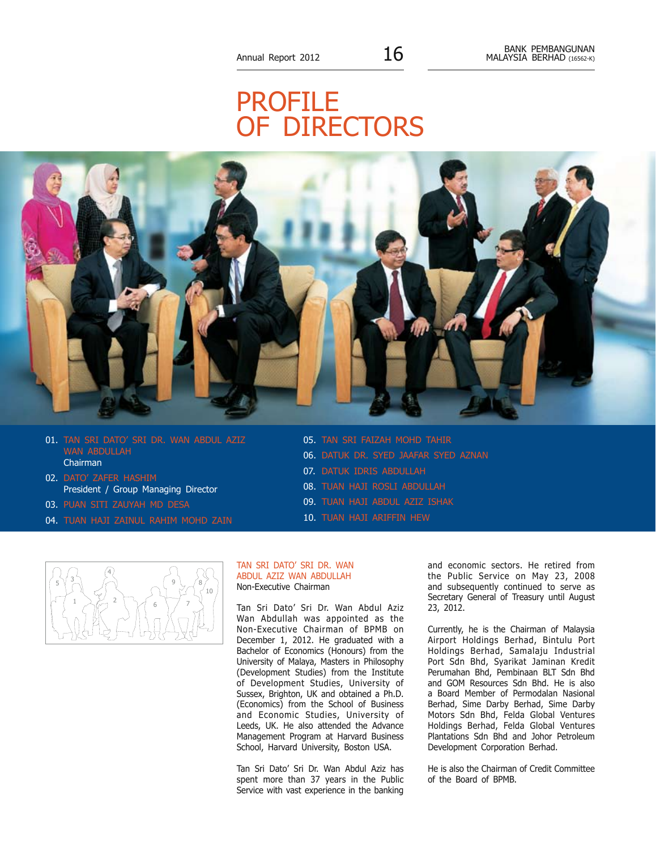# **PROFILE** OF DIRECTORS



- 01. TAN SRI DATO' SRI DR. WAN ABDUL AZIZ WAN ABDULLAH Chairman
- 02. DATO' ZAFER HASHIM President / Group Managing Director
- 03. puan SITI ZAUYAH MD DESA
- 04. tuan HAJI ZAINUL RAHIM MOHD ZAIN
- 05. TAN SRI FAIZAH MOHD TAHIR 06. DATUK DR. SYED JAAFAR SYED AZNAN 07. Datuk Idris Abdullah 08. tuan HAJI ROSLI ABDULLAH 09. tuan Haji Abdul Aziz Ishak 10. tuan Haji Ariffin Hew



# TAN SRI DATO' SRI DR. WAN ABDUL AZIZ WAN ABDULLAH Non-Executive Chairman

Tan Sri Dato' Sri Dr. Wan Abdul Aziz Wan Abdullah was appointed as the Non-Executive Chairman of BPMB on December 1, 2012. He graduated with a Bachelor of Economics (Honours) from the University of Malaya, Masters in Philosophy (Development Studies) from the Institute of Development Studies, University of Sussex, Brighton, UK and obtained a Ph.D. (Economics) from the School of Business and Economic Studies, University of Leeds, UK. He also attended the Advance Management Program at Harvard Business School, Harvard University, Boston USA.

Tan Sri Dato' Sri Dr. Wan Abdul Aziz has spent more than 37 years in the Public Service with vast experience in the banking

and economic sectors. He retired from the Public Service on May 23, 2008 and subsequently continued to serve as Secretary General of Treasury until August 23, 2012.

Currently, he is the Chairman of Malaysia Airport Holdings Berhad, Bintulu Port Holdings Berhad, Samalaju Industrial Port Sdn Bhd, Syarikat Jaminan Kredit Perumahan Bhd, Pembinaan BLT Sdn Bhd and GOM Resources Sdn Bhd. He is also a Board Member of Permodalan Nasional Berhad, Sime Darby Berhad, Sime Darby Motors Sdn Bhd, Felda Global Ventures Holdings Berhad, Felda Global Ventures Plantations Sdn Bhd and Johor Petroleum Development Corporation Berhad.

He is also the Chairman of Credit Committee of the Board of BPMB.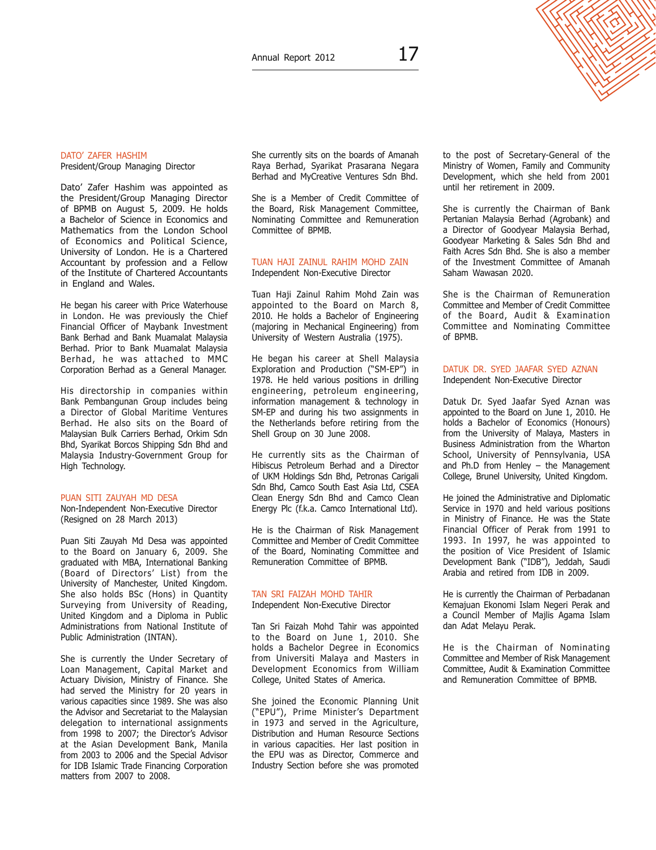# DATO' ZAFER HASHIM

President/Group Managing Director

Dato' Zafer Hashim was appointed as the President/Group Managing Director of BPMB on August 5, 2009. He holds a Bachelor of Science in Economics and Mathematics from the London School of Economics and Political Science, University of London. He is a Chartered Accountant by profession and a Fellow of the Institute of Chartered Accountants in England and Wales.

He began his career with Price Waterhouse in London. He was previously the Chief Financial Officer of Maybank Investment Bank Berhad and Bank Muamalat Malaysia Berhad. Prior to Bank Muamalat Malaysia Berhad, he was attached to MMC Corporation Berhad as a General Manager.

His directorship in companies within Bank Pembangunan Group includes being a Director of Global Maritime Ventures Berhad. He also sits on the Board of Malaysian Bulk Carriers Berhad, Orkim Sdn Bhd, Syarikat Borcos Shipping Sdn Bhd and Malaysia Industry-Government Group for High Technology.

### puan SITI ZAUYAH MD DESA

Non-Independent Non-Executive Director (Resigned on 28 March 2013)

Puan Siti Zauyah Md Desa was appointed to the Board on January 6, 2009. She graduated with MBA, International Banking (Board of Directors' List) from the University of Manchester, United Kingdom. She also holds BSc (Hons) in Quantity Surveying from University of Reading, United Kingdom and a Diploma in Public Administrations from National Institute of Public Administration (INTAN).

She is currently the Under Secretary of Loan Management, Capital Market and Actuary Division, Ministry of Finance. She had served the Ministry for 20 years in various capacities since 1989. She was also the Advisor and Secretariat to the Malaysian delegation to international assignments from 1998 to 2007; the Director's Advisor at the Asian Development Bank, Manila from 2003 to 2006 and the Special Advisor for IDB Islamic Trade Financing Corporation matters from 2007 to 2008.

She currently sits on the boards of Amanah Raya Berhad, Syarikat Prasarana Negara Berhad and MyCreative Ventures Sdn Bhd.

She is a Member of Credit Committee of the Board, Risk Management Committee, Nominating Committee and Remuneration Committee of BPMB.

#### Tuan haji ZAINUL RAHIM MOHD ZAIN Independent Non-Executive Director

Tuan Haji Zainul Rahim Mohd Zain was appointed to the Board on March 8, 2010. He holds a Bachelor of Engineering (majoring in Mechanical Engineering) from University of Western Australia (1975).

He began his career at Shell Malaysia Exploration and Production ("SM-EP") in 1978. He held various positions in drilling engineering, petroleum engineering, information management & technology in SM-EP and during his two assignments in the Netherlands before retiring from the Shell Group on 30 June 2008.

He currently sits as the Chairman of Hibiscus Petroleum Berhad and a Director of UKM Holdings Sdn Bhd, Petronas Carigali Sdn Bhd, Camco South East Asia Ltd, CSEA Clean Energy Sdn Bhd and Camco Clean Energy Plc (f.k.a. Camco International Ltd).

He is the Chairman of Risk Management Committee and Member of Credit Committee of the Board, Nominating Committee and Remuneration Committee of BPMB.

# TAN SRI FAIZAH MOHD TAHIR

Independent Non-Executive Director

Tan Sri Faizah Mohd Tahir was appointed to the Board on June 1, 2010. She holds a Bachelor Degree in Economics from Universiti Malaya and Masters in Development Economics from William College, United States of America.

She joined the Economic Planning Unit ("EPU"), Prime Minister's Department in 1973 and served in the Agriculture, Distribution and Human Resource Sections in various capacities. Her last position in the EPU was as Director, Commerce and Industry Section before she was promoted

to the post of Secretary-General of the Ministry of Women, Family and Community Development, which she held from 2001 until her retirement in 2009.

She is currently the Chairman of Bank Pertanian Malaysia Berhad (Agrobank) and a Director of Goodyear Malaysia Berhad, Goodyear Marketing & Sales Sdn Bhd and Faith Acres Sdn Bhd. She is also a member of the Investment Committee of Amanah Saham Wawasan 2020.

She is the Chairman of Remuneration Committee and Member of Credit Committee of the Board, Audit & Examination Committee and Nominating Committee of BPMB.

# DATUK DR. SYED JAAFAR SYED AZNAN Independent Non-Executive Director

Datuk Dr. Syed Jaafar Syed Aznan was appointed to the Board on June 1, 2010. He holds a Bachelor of Economics (Honours) from the University of Malaya, Masters in Business Administration from the Wharton School, University of Pennsylvania, USA and Ph.D from Henley – the Management College, Brunel University, United Kingdom.

He joined the Administrative and Diplomatic Service in 1970 and held various positions in Ministry of Finance. He was the State Financial Officer of Perak from 1991 to 1993. In 1997, he was appointed to the position of Vice President of Islamic Development Bank ("IDB"), Jeddah, Saudi Arabia and retired from IDB in 2009.

He is currently the Chairman of Perbadanan Kemajuan Ekonomi Islam Negeri Perak and a Council Member of Majlis Agama Islam dan Adat Melayu Perak.

He is the Chairman of Nominating Committee and Member of Risk Management Committee, Audit & Examination Committee and Remuneration Committee of BPMB.